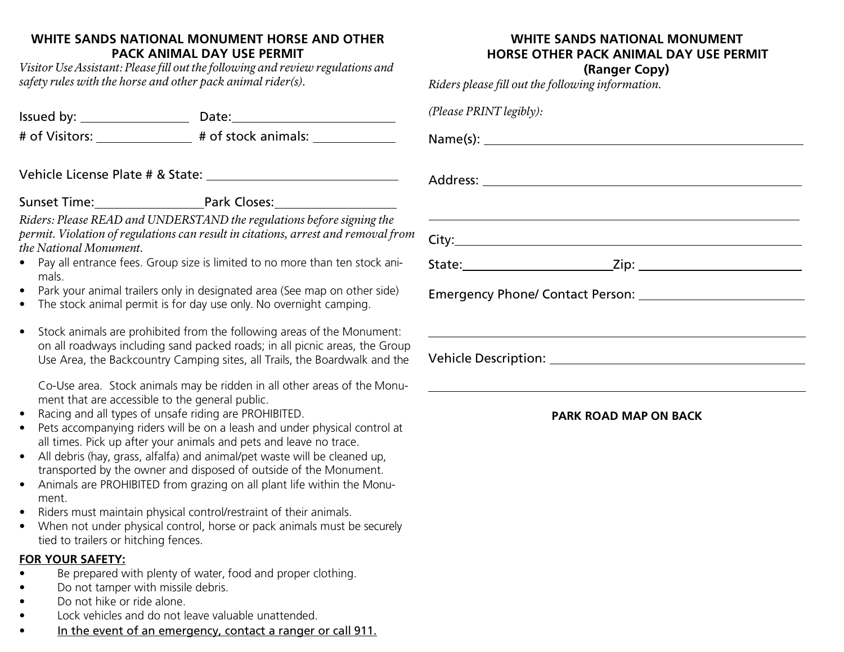## **WHITE SANDS NATIONAL MONUMENT HORSE AND OTHER PACK ANIMAL DAY USE PERMIT**

*Visitor UseAssistant: Please fill out the following and review regulations and safety rules with the horse and other pack animal rider(s).*

Issued by: Date:

# of Visitors: # of stock animals:

Vehicle License Plate # & State: Address:

Sunset Time: Park Closes:

*Riders: Please READ and UNDERSTAND the regulations before signing the permit. Violation of regulations can result in citations, arrest and removal from the National Monument.*

- Pay all entrance fees. Group size is limited to no more than ten stock animals.
- Park your animal trailers only in designated area (See map on other side)
- The stock animal permit is for day use only. No overnight camping.
- Stock animals are prohibited from the following areas of the Monument: on all roadways including sand packed roads; in all picnic areas, the Group Use Area, the Backcountry Camping sites, all Trails, the Boardwalk and the

Co-Use area. Stock animals may be ridden in all other areas of the Monument that are accessible to the general public.

- Racing and all types of unsafe riding are PROHIBITED.
- Pets accompanying riders will be on a leash and under physical control at all times. Pick up after your animals and pets and leave no trace.
- All debris (hay, grass, alfalfa) and animal/pet waste will be cleaned up, transported by the owner and disposed of outside of the Monument.
- Animals are PROHIBITED from grazing on all plant life within the Monument.
- Riders must maintain physical control/restraint of their animals.
- When not under physical control, horse or pack animals must be securely tied to trailers or hitching fences.

### **FOR YOUR SAFETY:**

- Be prepared with plenty of water, food and proper clothing.
- Do not tamper with missile debris.
- Do not hike or ride alone.
- Lock vehicles and do not leave valuable unattended.
- In the event of an emergency, contact a ranger or call 911.

# **WHITE SANDS NATIONAL MONUMENT HORSE OTHER PACK ANIMAL DAY USE PERMIT**

**(Ranger Copy)**

*Riders please fill out the following information.*

| (Please PRINT legibly):                                                                                                                                                                            |  |
|----------------------------------------------------------------------------------------------------------------------------------------------------------------------------------------------------|--|
|                                                                                                                                                                                                    |  |
|                                                                                                                                                                                                    |  |
| <u> 1989 - Jan Samuel Barbara, margaret eta biztanleria (h. 1989).</u>                                                                                                                             |  |
|                                                                                                                                                                                                    |  |
|                                                                                                                                                                                                    |  |
| ,我们也不会有什么。""我们的人,我们也不会有什么?""我们的人,我们也不会有什么?""我们的人,我们也不会有什么?""我们的人,我们也不会有什么?""我们的人<br>Vehicle Description: University of the University of the University of the University of the University of the |  |

#### **PARK ROAD MAP ON BACK**